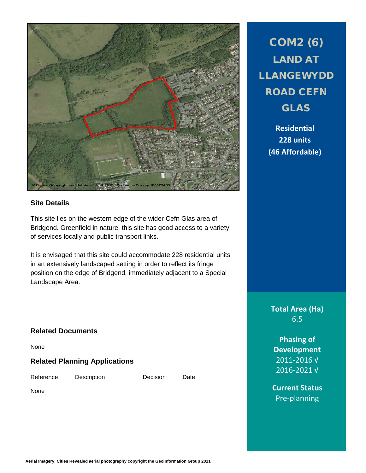

## **Site Details**

This site lies on the western edge of the wider Cefn Glas area of Bridgend. Greenfield in nature, this site has good access to a variety of services locally and public transport links.

It is envisaged that this site could accommodate 228 residential units in an extensively landscaped setting in order to reflect its fringe position on the edge of Bridgend, immediately adjacent to a Special Landscape Area.

# **Related Documents**

None

## **Related Planning Applications**

Reference Description Decision Date

None

COM2 (6) LAND AT LLANGEWYDD ROAD CEFN GLAS

> **Residential 228 units (46 Affordable)**

**Total Area (Ha)** 6.5

**Phasing of Development** 2011-2016 √ 2016-2021 √

**Current Status** Pre-planning